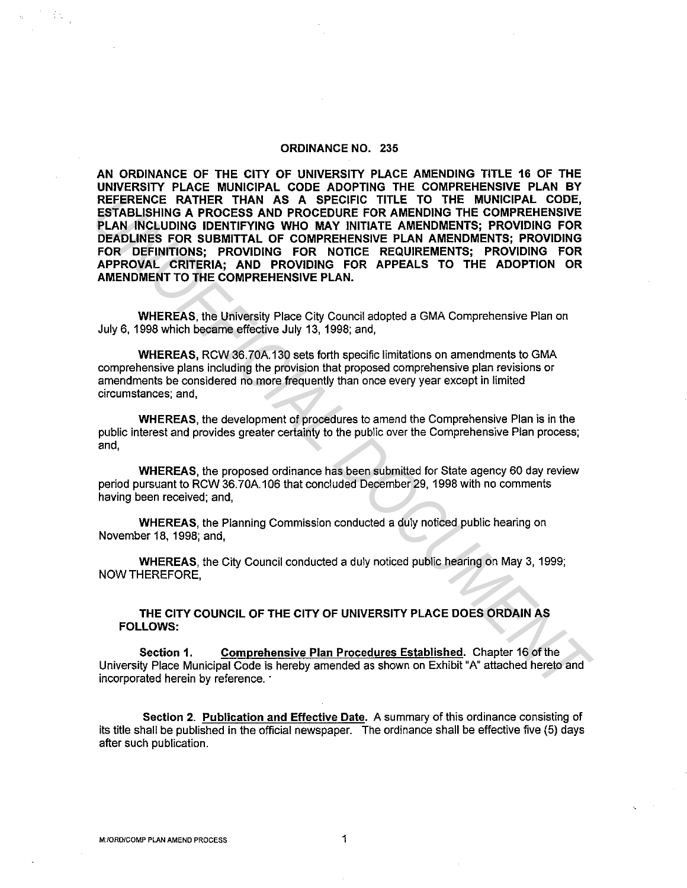### **ORDINANCE NO. 235**

**AN ORDINANCE OF THE CITY OF UNIVERSITY PLACE AMENDING TITLE 16 OF THE UNIVERSITY PLACE MUNICIPAL CODE ADOPTING THE COMPREHENSIVE PLAN BY REFERENCE RATHER THAN AS A SPECIFIC TITLE TO THE MUNICIPAL CODE, ESTABLISHING A PROCESS AND PROCEDURE FOR AMENDING THE COMPREHENSIVE PLAN INCLUDING IDENTIFYING WHO MAY INITIATE AMENDMENTS; PROVIDING FOR DEADLINES FOR SUBMITTAL OF COMPREHENSIVE PLAN AMENDMENTS; PROVIDING FOR DEFINITIONS; PROVIDING FOR NOTICE REQUIREMENTS; PROVIDING FOR APPROVAL CRITERIA; AND PROVIDING FOR APPEALS TO THE ADOPTION OR AMENDMENT TO THE COMPREHENSIVE PLAN. REFERENCE RATHER THAN AS A SPECIFIC ITILE TO THE MUNICIPAL CODE,<br>
<b>ESTABLISHING A PROCESS AND PROCEDURE FOR AMENDING THE COMPREHENSIVE<br>
PLAN INCLUDING IDENTIFYING WHO MAY INITATE AMENDMENTS; PROVIDING FOR<br>
DEADLIMES FOR S** 

**WHEREAS,** the University Place City Council adopted a GMA Comprehensive Plan on July 6, 1998 which became effective July 13, 1998; and,

**WHEREAS,** RCW 36.70A.130 sets forth specific limitations on amendments to GMA comprehensive plans including the provision that proposed comprehensive plan revisions or amendments be considered no more frequently than once every year except in limited circumstances; and,

**WHEREAS,** the development of procedures to amend the Comprehensive Plan is in the public interest and provides greater certainty to the public over the Comprehensive Plan process; and,

**WHEREAS,** the proposed ordinance has been submitted for State agency 60 day review period pursuant to RCW 36.70A.106 that concluded December 29, 1998 with no comments having been received; and,

**WHEREAS,** the Planning Commission conducted a duly noticed public hearing on November 18, 1998; and,

**WHEREAS,** the City Council conducted a duly noticed public hearing on May 3, 1999; NOW THEREFORE,

**THE CITY COUNCIL OF THE CITY OF UNIVERSITY PLACE DOES ORDAIN AS FOLLOWS:** 

**Section 1. Comprehensive Plan Procedures Established.** Chapter 16 of the University Place Municipal Code is hereby amended as shown on Exhibit "A" attached hereto and incorporated herein by reference. ·

**Section 2. Publication and Effective Date.** A summary of this ordinance consisting of its title shall be published in the official newspaper. The ordinance shall be effective five (5) days after such publication.

ÝУ.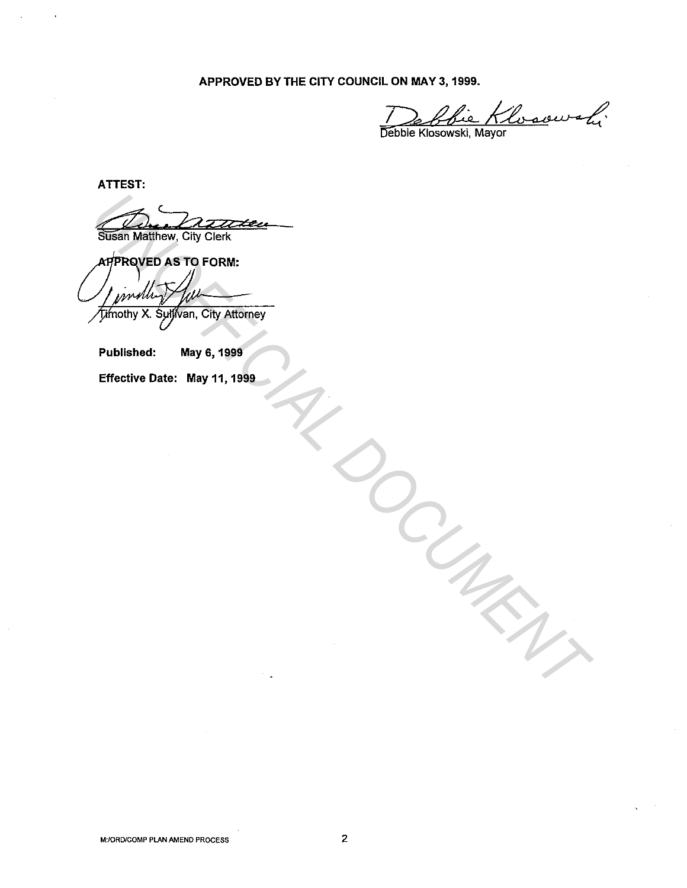APPROVED BY THE CITY COUNCIL ON MAY 3, 1999.

Debbie Klosowski,

ATTEST:

Climber Susan Matthew, City Clerk

**UNIFICIAL DE LA CALACTERICAL DE CONSTRUITE DE LA CALACTERICAL DE LA CALACTERICAL DE LA CALACTERICAL DE LA CALACTERICAL DE LA CALACTERICAL DE LA CALACTERICAL DE LA CALACTERICAL DE LA CALACTERICAL DE LA CALACTERICAL DE LA C** 

Published: May 6, 1999

Effective Date: May 11, 1999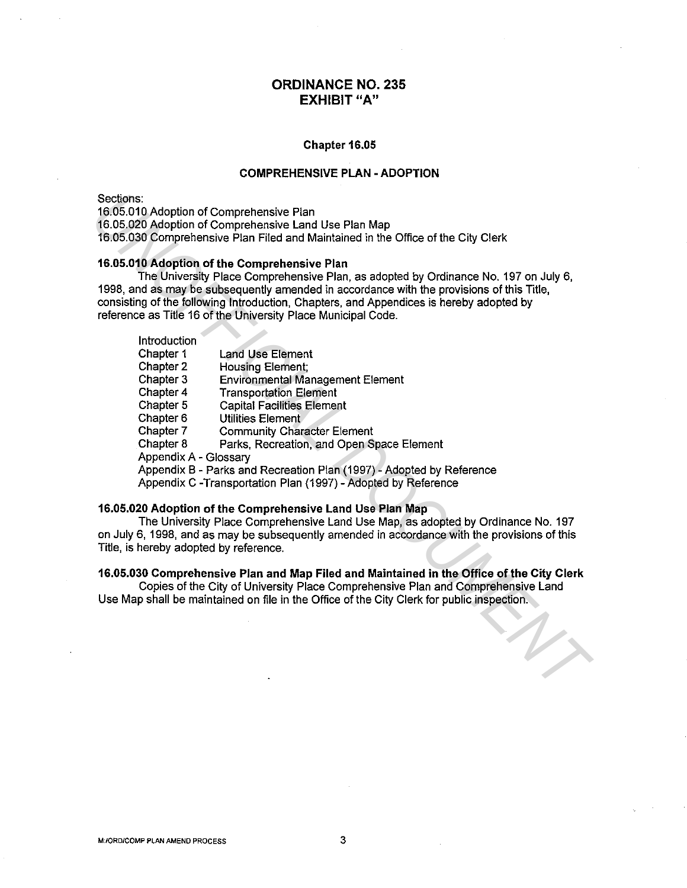# **ORDINANCE NO. 235 EXHIBIT "A"**

#### **Chapter 16.05**

## **COMPREHENSIVE PLAN - ADOPTION**

### **16.05.010 Adoption of the Comprehensive Plan**

| Sections:<br>16.05.010 Adoption of Comprehensive Plan<br>16.05.020 Adoption of Comprehensive Land Use Plan Map<br>16.05.030 Comprehensive Plan Filed and Maintained in the Office of the City Clerk                                                                                                                                                                                                                                                                                                                                                                   |
|-----------------------------------------------------------------------------------------------------------------------------------------------------------------------------------------------------------------------------------------------------------------------------------------------------------------------------------------------------------------------------------------------------------------------------------------------------------------------------------------------------------------------------------------------------------------------|
| 16.05.010 Adoption of the Comprehensive Plan<br>The University Place Comprehensive Plan, as adopted by Ordinance No. 197 on July 6,<br>1998, and as may be subsequently amended in accordance with the provisions of this Title,<br>consisting of the following Introduction, Chapters, and Appendices is hereby adopted by<br>reference as Title 16 of the University Place Municipal Code.                                                                                                                                                                          |
| <b>Introduction</b><br>Chapter 1<br><b>Land Use Element</b><br>Chapter 2<br>Housing Element;<br><b>Environmental Management Element</b><br>Chapter 3<br>Chapter 4<br><b>Transportation Element</b><br>Chapter 5<br><b>Capital Facilities Element</b><br>Chapter 6<br>Utilities Element<br>Chapter 7<br><b>Community Character Element</b><br>Chapter 8<br>Parks, Recreation, and Open Space Element<br>Appendix A - Glossary<br>Appendix B - Parks and Recreation Plan (1997) - Adopted by Reference<br>Appendix C -Transportation Plan (1997) - Adopted by Reference |
| 16.05.020 Adoption of the Comprehensive Land Use Plan Map<br>The University Place Comprehensive Land Use Map, as adopted by Ordinance No. 197<br>on July 6, 1998, and as may be subsequently amended in accordance with the provisions of this<br>Title, is hereby adopted by reference.                                                                                                                                                                                                                                                                              |
| 16.05.030 Comprehensive Plan and Map Filed and Maintained in the Office of the City Clerk<br>Copies of the City of University Place Comprehensive Plan and Comprehensive Land<br>Use Map shall be maintained on file in the Office of the City Clerk for public inspection.                                                                                                                                                                                                                                                                                           |
|                                                                                                                                                                                                                                                                                                                                                                                                                                                                                                                                                                       |

## **16.05.020 Adoption of the Comprehensive Land Use Plan Map**

## **16.05.030 Comprehensive Plan and Map Filed and Maintained in the Office of the City Clerk**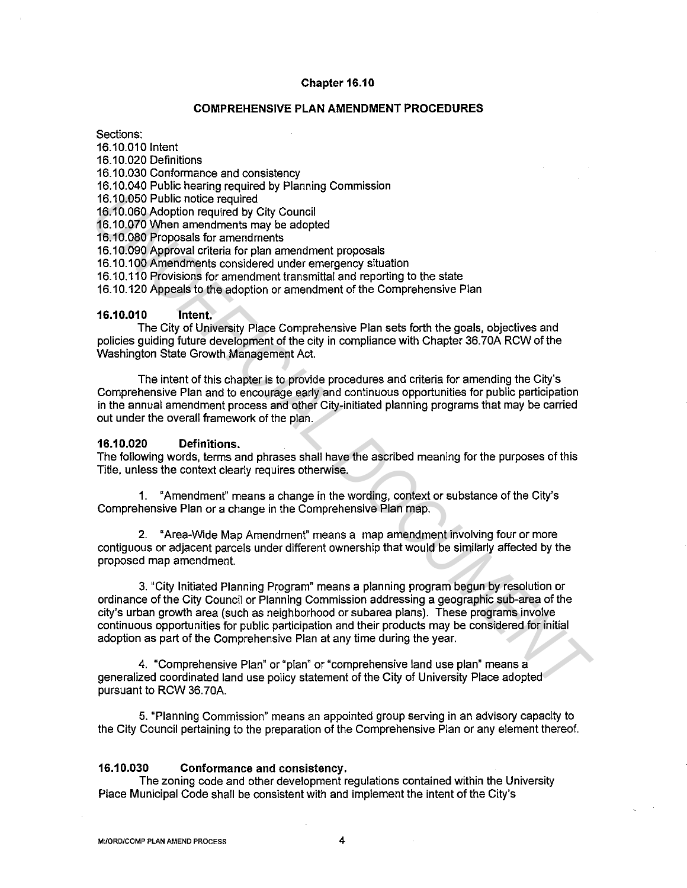#### **Chapter 16.10**

### **COMPREHENSIVE PLAN AMENDMENT PROCEDURES**

Sections:

16.10.010 Intent 16.10.020 Definitions

16.10.030 Conformance and consistency

16.10.040 Public hearing required by Planning Commission

16.10.050 Public notice required

16.10.060 Adoption required by City Council

16.10.070 When amendments may be adopted

16.10.080 Proposals for amendments

16.10.090 Approval criteria for plan amendment proposals

16.10.100 Amendments considered under emergency situation

16.10.110 Provisions for amendment transmittal and reporting to the state

16.10.120 Appeals to the adoption or amendment of the Comprehensive Plan

#### **16.10.010 Intent.**

The City of University Place Comprehensive Plan sets forth the goals, objectives and policies guiding future development of the city in compliance with Chapter 36. 70A RCW of the Washington State Growth Management Act.

The intent of this chapter is to provide procedures and criteria for amending the City's Comprehensive Plan and to encourage early and continuous opportunities for public participation in the annual amendment process and other City-initiated planning programs that may be carried out under the overall framework of the plan.

#### **16.10.020 Definitions.**

The following words, terms and phrases shall have the ascribed meaning for the purposes of this Title, unless the context clearly requires otherwise.

1. "Amendment" means a change in the wording, context or substance of the City's Comprehensive Plan or a change in the Comprehensive Plan map.

2. "Area-Wide Map Amendment" means a map amendment involving four or more contiguous or adjacent parcels under different ownership that would be similarly affected by the proposed map amendment.

3. "City Initiated Planning Program" means a planning program begun by resolution or ordinance of the City Council or Planning Commission addressing a geographic sub-area of the city's urban growth area (such as neighborhood or subarea plans). These programs involve continuous opportunities for public participation and their products may be considered for initial adoption as part of the Comprehensive Plan at any time during the year. 16.10.060 Public notice mainframets may be adopted<br>16.10.060 Adoption required by City Council<br>16.10.060 Adoption required by City Council<br>16.10.000 Approval critical for plan amendment proposals<br>16.10.000 Approval critica

4. "Comprehensive Plan" or "plan" or "comprehensive land use plan" means a generalized coordinated land use policy statement of the City of University Place adopted pursuant to RCW 36. 70A.

5. "Planning Commission" means an appointed group serving in an advisory capacity to the City Council pertaining to the preparation of the Comprehensive Plan or any element thereof.

## **16.10.030 Conformance and consistency.**

The zoning code and other development regulations contained within the University Place Municipal Code shall be consistent with and implement the intent of the City's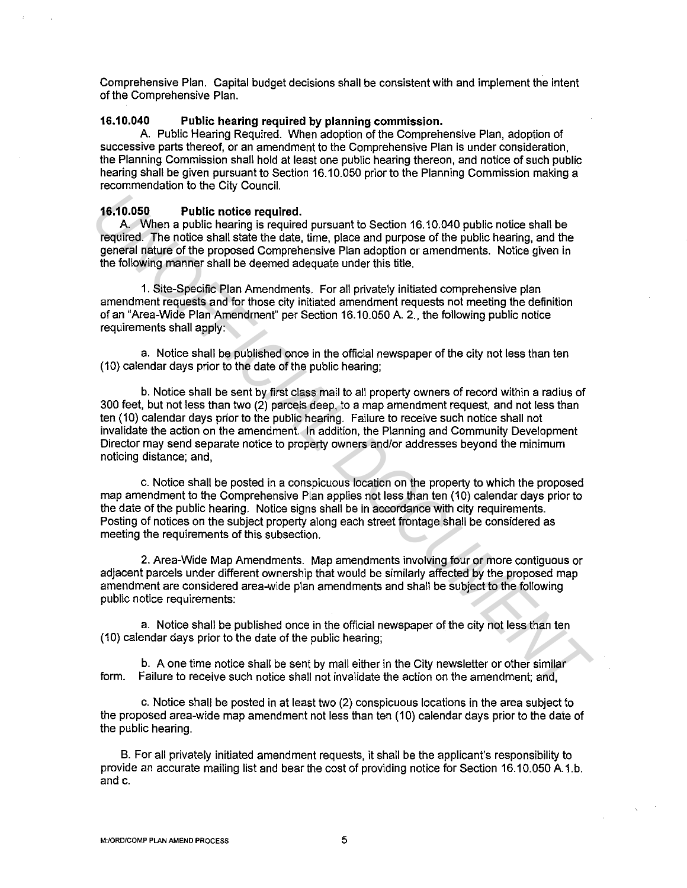Comprehensive Plan. Capital budget decisions shall be consistent with and implement the intent of the Comprehensive Plan.

## **16.10.040 Public hearing required by planning commission.**

A. Public Hearing Required. When adoption of the Comprehensive Plan, adoption of successive parts thereof, or an amendment to the Comprehensive Plan is under consideration, the Planning Commission shall hold at least one public hearing thereon, and notice of such public hearing shall be given pursuant to Section 16.10.050 prior to the Planning Commission making a recommendation to the City Council.

## **16.10.050 Public notice required.**

A. When a public hearing is required pursuant to Section 16.10.040 public notice shall be required. The notice shall state the date, time, place and purpose of the public hearing, and the general nature of the proposed Comprehensive Plan adoption or amendments. Notice given in the following manner shall be deemed adequate under this title.

1. Site-Specific Plan Amendments. For all privately initiated comprehensive plan amendment requests and for those city initiated amendment requests not meeting the definition of an "Area-Wide Plan Amendment" per Section 16.10.050 A. 2., the following public notice requirements shall apply:

a. Notice shall be published once in the official newspaper of the city not less than ten (10) calendar days prior to the date of the public hearing;

b. Notice shall be sent by first class mail to all property owners of record within a radius of 300 feet, but not less than two (2) parcels deep, to a map amendment request, and not less than ten (10) calendar days prior to the public hearing. Failure to receive such notice shall not invalidate the action on the amendment. In addition, the Planning and Community Development Director may send separate notice to property owners and/or addresses beyond the minimum noticing distance; and, **16.10.050 Public notice required.**<br> **A. When** a public hearing is required pursuant to Section 16.10.040 public notice shall be equired. The notice shall state the date time, place and purpose of the public hearing, and t

c. Notice shall be posted in a conspicuous location on the property to which the proposed map amendment to the Comprehensive Plan applies not less than ten (10) calendar days prior to the date of the public hearing. Notice signs shall be in accordance with city requirements. Posting of notices on the subject property along each street frontage shall be considered as meeting the requirements of this subsection.

2. Area-Wide Map Amendments. Map amendments involving four or more contiguous or adjacent parcels under different ownership that would be similarly affected by the proposed map amendment are considered area-wide plan amendments and shall be subject to the following public notice requirements:

a. Notice shall be published once in the official newspaper of the city not less than ten (10) calendar days prior to the date of the public hearing;

b. A one time notice shall be sent by mail either in the City newsletter or other similar form. Failure to receive such notice shall not invalidate the action on the amendment; and,

c. Notice shall be posted in at least two (2) conspicuous locations in the area subject to the proposed area-wide map amendment not less than ten (10) calendar days prior to the date of the public hearing.

B. For all privately initiated amendment requests, it shall be the applicant's responsibility to provide an accurate mailing list and bear the cost of providing notice for Section 16.10.050 A.1.b. and c.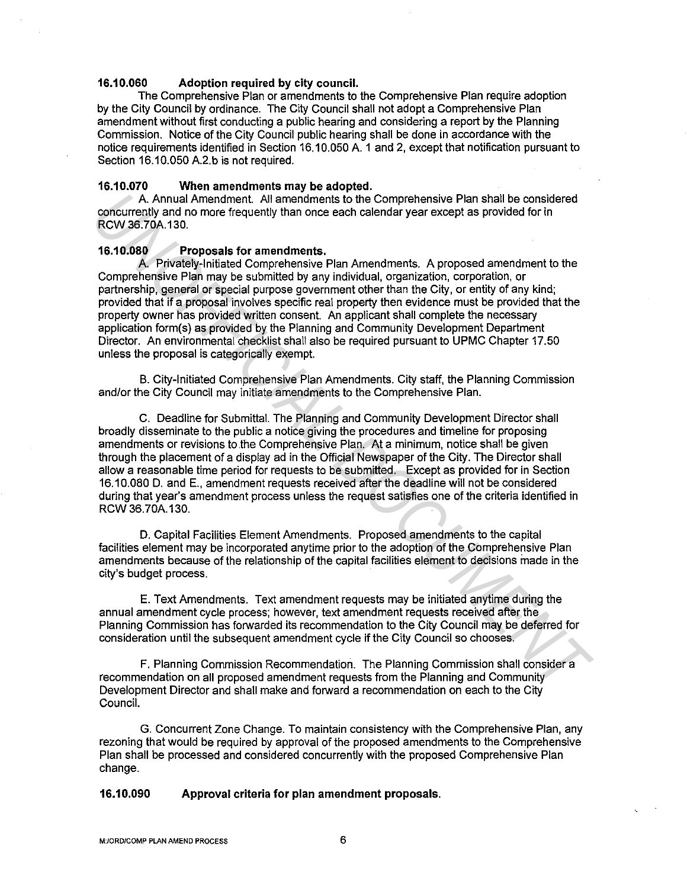### **16.10.060 Adoption required by city council.**

The Comprehensive Plan or amendments to the Comprehensive Plan require adoption by the City Council by ordinance. The City Council shall not adopt a Comprehensive Plan amendment without first conducting a public hearing and considering a report by the Planning Commission. Notice of the City Council public hearing shall be done in accordance with the notice requirements identified in Section 16.10.050 A. 1 and 2, except that notification pursuant to Section 16.10.050 A.2.b is not required.

## **16.10.070 When amendments may be adopted.**

A. Annual Amendment. All amendments to the Comprehensive Plan shall be considered concurrently and no more frequently than once each calendar year except as provided for in RCW 36. 70A.130.

#### **16.10.080 Proposals for amendments.**

A. Privately-Initiated Comprehensive Plan Amendments. A proposed amendment to the Comprehensive Plan may be submitted by any individual, organization, corporation, or partnership, general or special purpose government other than the City, or entity of any kind; provided that if a proposal involves specific real property then evidence must be provided that the property owner has provided written consent. An applicant shall complete the necessary application form(s) as provided by the Planning and Community Development Department Director. An environmental checklist shall also be required pursuant to UPMC Chapter 17.50 unless the proposal is categorically exempt. A Annual Amendments of the Comprehensive Plan shall be considered<br> **CONOTERTS** and Amendments of the Comprehensive Plan Shall be considered<br>
RCW 36.70A.130.<br> **16.100500**<br> **Proposals for amendments.** A proposed amendment to

B. City-Initiated Comprehensive Plan Amendments. City staff, the Planning Commission and/or the City Council may initiate amendments to the Comprehensive Plan.

C. Deadline for Submittal. The Planning and Community Development Director shall broadly disseminate to the public a notice giving the procedures and timeline for proposing amendments or revisions to the Comprehensive Plan. At a minimum, notice shall be given through the placement of a display ad in the Official Newspaper of the City. The Director shall allow a reasonable time period for requests to be submitted. Except as provided for in Section 16.10.080 D. and E., amendment requests received after the deadline will not be considered during that year's amendment process unless the request satisfies one of the criteria identified in RCW 36.70A.130.

D. Capital Facilities Element Amendments. Proposed amendments to the capital facilities element may be incorporated anytime prior to the adoption of the Comprehensive Plan amendments because of the relationship of the capital facilities element to decisions made in the city's budget process.

E. Text Amendments. Text amendment requests may be initiated anytime during the annual amendment cycle process; however, text amendment requests received after the Planning Commission has forwarded its recommendation to the City Council may be deferred for consideration until the subsequent amendment cycle if the City Council so chooses.

F. Planning Commission Recommendation. The Planning Commission shall consider a recommendation on all proposed amendment requests from the Planning and Community Development Director and shall make and forward a recommendation on each to the City Council.

G. Concurrent Zone Change. To maintain consistency with the Comprehensive Plan, any rezoning that would be required by approval of the proposed amendments to the Comprehensive Plan shall be processed and considered concurrently with the proposed Comprehensive Plan change.

#### **16.10.090 Approval criteria for plan amendment proposals.**